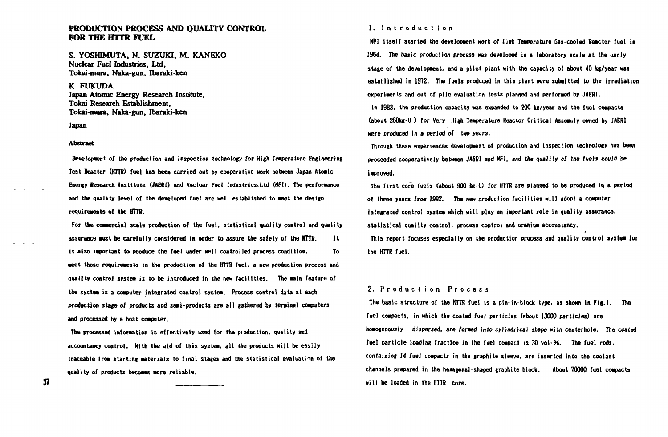# **PRODUCTION PROCESS AND QUALITY CONTROL FOR THE HTTR FUEL**

S. YOSHIMUTA, N. SUZUKI, M. KANEKO Nuclear Fuel Industries, Ltd, Tokai-mura, Naka-gun, Ibaraki-ken

K. FUKUDA Japan Atomic Energy Research Institute, Tokai Research Establishment, Tokai-mura, Naka-gun, Ibaraki-ken

Japan

#### **Abstract**

**Development of the production and inspection technology for High Temperature Engineering Test Reactor (HTTR) fuel has been carried out by cooperative work between Japan Atoaic Energy Research Institute (JAERI) and Nuclear Fuel Industries.Ltd (NF1). The performance and the quality level of the developed fuel are well established to meet the design requirements of the HTTR.** 

**For the commercial scale production of the fuel, statistical quality control and quality assurance wist be carefully considered in order to assure the safety of the HTTR. It is also important to produce the fuel under well controlled process condition. To meet these requirements in the production of the HTTR fuel, a new production process and quality control** *system* **is to be introduced in the new facilities. The main feature of the system is a computer integrated control system. Process corvtrol data at each production stage of products and semiproducts are all gathered by terminal computers and processed by a host computer.** 

**The processed information is effectively used for the pioduction, quality and accountancy control. With the aid of this system, all the products will be easily traceable from starting materials to final stages and the statistical evaluation of the quality of products becomes more reliable.** 

#### **1. Introductio n**

**NFI itself started the development work of High Temperature Gas-cooled Reactor fuel in 1964. The basic production process was developed in a laboratory scale at the early stage of the development, and a pilot plant with the capacity of about 40 kg/year was established in 1972. The fuels produced in this plant were submitted to the irradiation experiments and out of-pile evaluation tests planned and performed by JAERI.** 

**In 1983, the production capacity was expanded to 200 kg/year and the fuel compacts (about 260kg-U ) for Very High Temperature Reactor Critical Assemuly owned by JAERI were produced in a period of two years.** 

**Through these experiences development of production and inspection technology has been proceeded cooperatively between JAERI and NFI, and the quality of the fuels could be improved.** 

**The first core fuels (about 900 kg-U) for HTTR are planned to be produced in a period of three years from 1992. The new production facilities will adopt a computer integrated control system which will play an important role in quality assurance, statistical quality control, process control and uranium accountancy.** 

**This report focuses especially on the production process and quality control system for the HTTR fuel.** 

# **2 . Productio n Proces s**

**The basic structure of the HTTR fuel is a pin-in-block type, as shown in Fig.l. The fuel compacts, in which the coated fuel particles (about 13000 particles) are homogenous Iy dispersed, are formed into cylindrical shape with centerhole. The coated**  fuel particle loading fraction in the fuel compact is 30 vol-96. The fuel rods, **containing 14 fuel compacts in the graphite sleeve, are inserted into the coolant channels prepared in the hexagonal-shaped graphite block. About 70000 fuel compacts will be loaded in the HTTR core.** 

37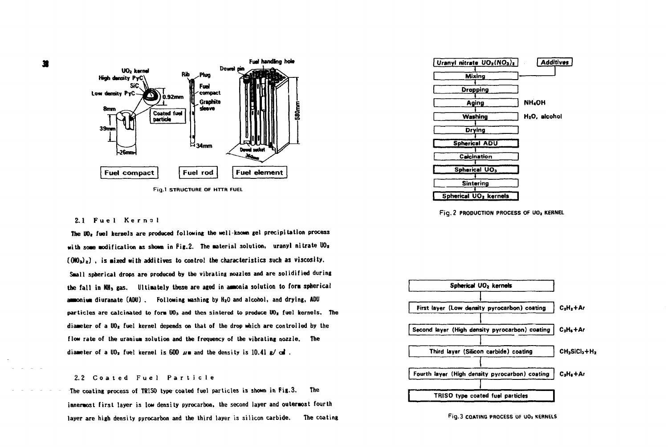



## **2.1 Fue l Kerna l**

**The U0» fuel kernels are produced following the well-known gel precipitation process**  with some modification as shown in Fig.2. The material solution, uranyl nitrate UO<sub>2</sub>  $(MO<sub>3</sub>)<sub>z</sub>$ ), is mixed with additives to control the characteristics such as viscosity. **Saall spherical drops are produced by the vibrating nozzles and are solidified during**  the fall in NH<sub>3</sub> gas. Ultimately these are aged in ammonia solution to form spherical **ammonium** diuranate (ADU), Following washing by H<sub>2</sub>O and alcohol, and drying, ADU particles are calcinated to form UO<sub>3</sub> and then sintered to produce UO<sub>2</sub> fuel kernels. The **diaaeter of a U0t fuel kernel depends on that of the drop which are controlled by the flow rate of the uraniua solution and the frequency of the vibrating nozzle. The**  diameter of a  $U_2$  fuel kernel is 600  $\mu$ m and the density is 10.41  $\mu$  cm .

## **2.2 Coate d Fue l Particl e**

**The coating process of TR1S0 type coated fuel particles is shown in Fig.3. The innermost first layer is low density pyrocarbon, the second layer and outermost fourth layer are high density pyrocarbon and the third layer is silicon carbide. The coating** 







**Fig. 3 COATING PROCESS OF UOi KERNELS** 

×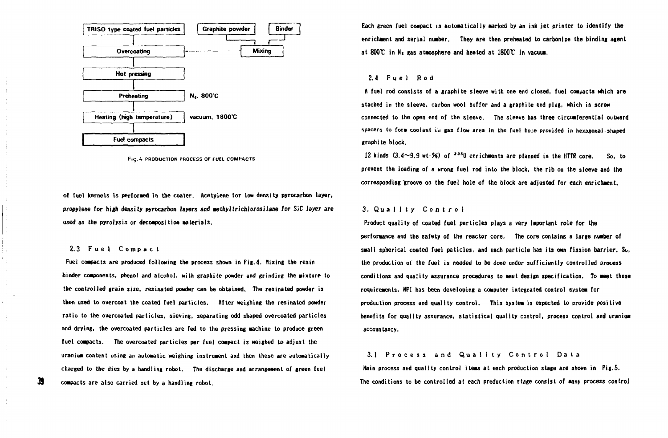

**Fig.** *U* **PRODUCTION PROCESS OF FO£L COMPACTS** 

**of fuel kernels is performed in the coater. Acetylene for low density pyrocarbon layer, propylene for high density pyrocarbon layers and aethyltrichlorosilane for SiC layer are**  used as the pyrolysis or decomposition materials.

## **2.3 Fue l Compac t**

**39** 

Fuel compacts are produced following the process shown in Fig.4. Mixing the resin **binder components, phenol and alcohol, with graphite powder and grinding the aixture to the controlled grain** *size,* **resinated powder can be obtained. The resinated powder is then used to overcoat the coated fuel particles. After weighing the resinated powder ratio to the overcoated particles, sieving, separating odd shaped overcoated particles and drying, the overcoated particles are fed to the pressing aachine to produce green fuel coapacts. The overcoated particles per fuel coapact is weighed to adjust the uraniua content using an automatic weighing instrument and then these are sutomatically charged to the dies by a handling robot. The discharge and arrangement of green fuel compacts are also carried out by a handling robot.** 

**Each green fuel coapact is automatically aarked by an ink jet printer to identify the enrichment and serial number. They are then preheated to carbonize the binding agent at 8001 in Ni gas atmosphere and heated at 1800T in vacuua.** 

## **2.4 Fue l Ro d**

A fuel rod consists of a graphite sleeve with one end closed, fuel compacts which are **stacked in the sleeve, carbon wool buffer and a graphite end plug, which is screw connected to the open end of the sleeve. The sleeve has three circumferential outward**  spacers to form coolant *i*<sub>q</sub> gas flow area in the fuel hole provided in hexagonal-shaped **graphite block.** 

 $12$  kinds  $(3.4 \sim 9.9$  wt- $\frac{96}{100})$  of  $\frac{2251}{100}$  enrichments are planned in the HTTR core. So, to **prevent the loading of a wrong fuel rod into the block, the rib on the sleeve and the corresponding'groove on the fuel hole of the block are adjusted for each enrichment.** 

## **<sup>3</sup> . Qualit y Contro l**

**Product quality of coated fuel particles plays a very important role for the performance and the safety of the reactor core. The core contains a large number of small spherical coated fuel paticles, and each particle has its own fission barrier. So, the production ot the fuel is needed to be done under sufficiently controlled process conditions and quality assurance procedures to meet design specification. To aeet these requirements, NFI has been developing a computer integrated control system for production process and quality control. This system is expected to provide positive benefits for quality assurance, statistical quality control, process control and uraniua accountancy.** 

## **3.1 Proces s an d Qualit y Contro l Dat a**

**Main process and quality control items at each production stage are shown in Fig.5. The conditions to be controlled at each production stage consist of many process control**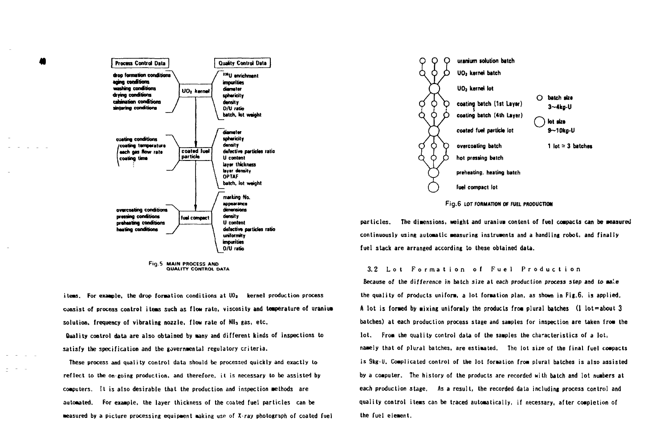

Fig.5 MAIN PROCESS AND QUALITY CONTROL DATA

items. For example, the drop formation conditions at  $00<sub>z</sub>$  kernel production process consist of process control items such as flow rate, viscosity and temperature of uranium solution, frequency of vibrating nozzle, flow rate of Nll<sub>3</sub> gas, etc. Quality control data are also obtained by many and different kinds of inspections to satisfy the specification and the governmental regulatory criteria.

These process and quality control data should be processed quickly and exactly to reflect to the on-going production, and therefore, it is necessary to be assisted by computers. It is also desirable that the production and inspection methods are automated. For example, the laver thickness of the coated fuel particles can be measured by a picture processing equipment making use of  $X$ -ray photograph of coated fuel



Fig.6 LOT FORMATION OF FUEL PRODUCTION

particles. The dimensions, weight and uranium content of fuel compacts can be measured continuously using automatic measuring instruments and a handling robot, and finally fuel stack are arranged according to these obtained data.

### 3.2 Lot Formation of Fuel Production

Because of the difference in batch size at each production process step and to male the quality of products uniform, a lot formation plan, as shown in Fig.6, is applied, A lot is formed by mixing uniformly the products from plural batches (1 lot=about 3 batches) at each production process stage and samples for inspection are taken from the lot. From the quality control data of the samples the characteristics of a lot. namely that of plural batches, are estimated. The lot size of the final fuel compacts is 9kg-U. Complicated control of the lot formation from plural batches is also assisted by a computer. The history of the products are recorded with batch and lot numbers at each production stage. As a result, the recorded data including process control and quality control items can be traced automatically, if necessary, after completion of the fuel element.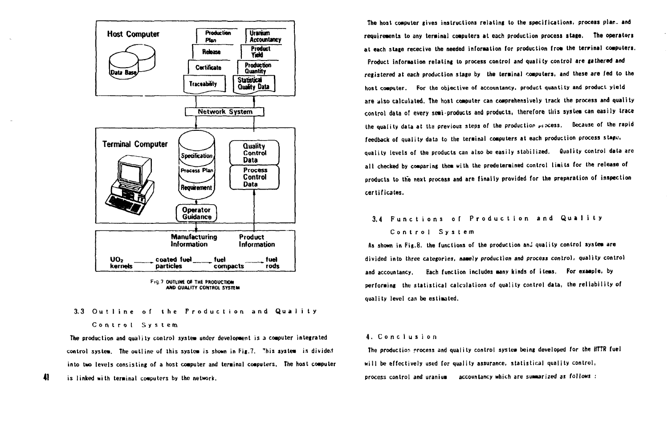

**Fig. 7 OUTLINE OF THE PRODUCTION AND QUA1ITY CONTROL SYSTEM** 

**3.3 Outlin e o f th e Productio n an d Qualit y** 

## **Contro l Syste m**

**41** 

The production and quality control system under development is a computer integrated **control systea. The outline of this syslea is shown in l'ig.7. <sup>T</sup> nis systea is divided into two levels consisting of a host coaputer and terainal computers. The host coaputer is linked with terainal computers by the network.** 

**The host coaputer gives instructions relating to the specifications, process plar. and requirements to any terainal coaputers at each production process stage. The operators at each stage rececive the needed inforaation for production froa the terrinal computers. Product inforaation relating to process control and quality control are gathered and registered at each production stage by the terainal computers, and these are fed to the host coaputer. For the objective of accountancy, product quantity and product yield are also calculated. The host coaputer can comprehensively track the process and quality control data of every seai-products and products, therefore tliis system can easily trace the quality data at the previous steps of the production access. Because of the rapid feedback of quality data to the terainal coaputers at each production process stage, quality levels of the products can also be easily stabilized. duality control data are**  all checked by comparing them with the predetermined control limits for the release of **products to the next process and are finally provided for the preparation of inspection certificates.** 

# **3.4 Function s o f Productio n an d Qualit y Contro l Syste m**

As shown in Fig.8, the functions of the production and quality control system are **divided into three categories, naaely production and** *process* **control, quality control and accountancy. Each function includes many kinds of items. For example, by performing the statistical calculations of quality control data, the reliability of quality level can be estimated.** 

#### **4. Conclusio n**

**The production process and quality control system being developed for the IITTR fuel will be effectively used for quality assurance, statistical quality control, process control and uraniua accountancy which are summarized as follows :**